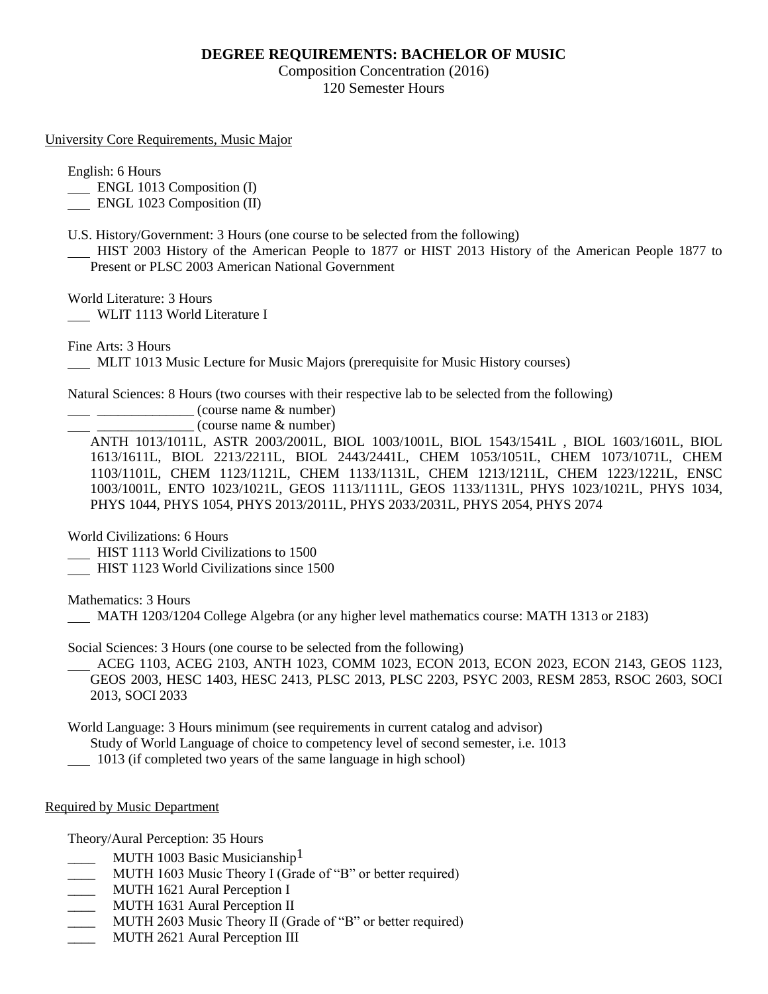## **DEGREE REQUIREMENTS: BACHELOR OF MUSIC**

Composition Concentration (2016) 120 Semester Hours

University Core Requirements, Music Major

English: 6 Hours

ENGL 1013 Composition (I)

ENGL 1023 Composition (II)

U.S. History/Government: 3 Hours (one course to be selected from the following)

 HIST 2003 History of the American People to 1877 or HIST 2013 History of the American People 1877 to Present or PLSC 2003 American National Government

World Literature: 3 Hours

WLIT 1113 World Literature I

Fine Arts: 3 Hours

MLIT 1013 Music Lecture for Music Majors (prerequisite for Music History courses)

Natural Sciences: 8 Hours (two courses with their respective lab to be selected from the following)

\_\_\_\_\_\_\_\_\_\_\_\_\_\_ (course name & number)

\_\_\_\_\_\_\_\_\_\_\_\_\_\_ (course name & number)

ANTH 1013/1011L, ASTR 2003/2001L, BIOL 1003/1001L, BIOL 1543/1541L , BIOL 1603/1601L, BIOL 1613/1611L, BIOL 2213/2211L, BIOL 2443/2441L, CHEM 1053/1051L, CHEM 1073/1071L, CHEM 1103/1101L, CHEM 1123/1121L, CHEM 1133/1131L, CHEM 1213/1211L, CHEM 1223/1221L, ENSC 1003/1001L, ENTO 1023/1021L, GEOS 1113/1111L, GEOS 1133/1131L, PHYS 1023/1021L, PHYS 1034, PHYS 1044, PHYS 1054, PHYS 2013/2011L, PHYS 2033/2031L, PHYS 2054, PHYS 2074

World Civilizations: 6 Hours

HIST 1113 World Civilizations to 1500

HIST 1123 World Civilizations since 1500

Mathematics: 3 Hours

MATH 1203/1204 College Algebra (or any higher level mathematics course: MATH 1313 or 2183)

Social Sciences: 3 Hours (one course to be selected from the following)

 ACEG 1103, ACEG 2103, ANTH 1023, COMM 1023, ECON 2013, ECON 2023, ECON 2143, GEOS 1123, GEOS 2003, HESC 1403, HESC 2413, PLSC 2013, PLSC 2203, PSYC 2003, RESM 2853, RSOC 2603, SOCI 2013, SOCI 2033

World Language: 3 Hours minimum (see requirements in current catalog and advisor)

Study of World Language of choice to competency level of second semester, i.e. 1013

1013 (if completed two years of the same language in high school)

Required by Music Department

Theory/Aural Perception: 35 Hours

- MUTH 1003 Basic Musicianship<sup>1</sup>
- \_\_\_\_ MUTH 1603 Music Theory I (Grade of "B" or better required)
- \_\_\_\_ MUTH 1621 Aural Perception I
- \_\_\_\_ MUTH 1631 Aural Perception II
- \_\_\_\_ MUTH 2603 Music Theory II (Grade of "B" or better required)
- MUTH 2621 Aural Perception III